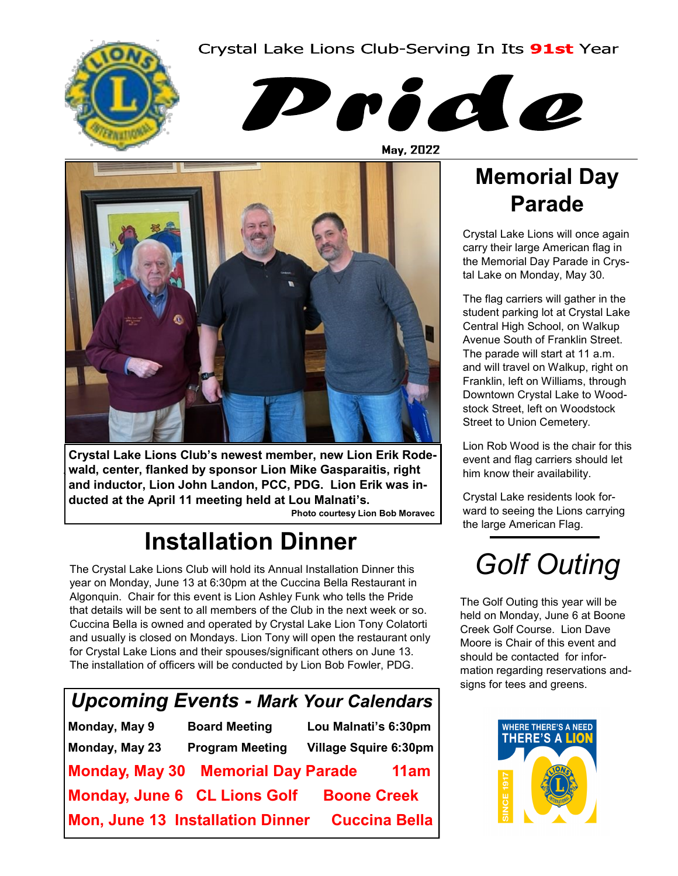Crystal Lake Lions Club-Serving In Its 91st Year





May, 2022



**Crystal Lake Lions Club's newest member, new Lion Erik Rodewald, center, flanked by sponsor Lion Mike Gasparaitis, right and inductor, Lion John Landon, PCC, PDG. Lion Erik was inducted at the April 11 meeting held at Lou Malnati's.** 

 **Photo courtesy Lion Bob Moravec** 

## **Installation Dinner**

The Crystal Lake Lions Club will hold its Annual Installation Dinner this year on Monday, June 13 at 6:30pm at the Cuccina Bella Restaurant in Algonquin. Chair for this event is Lion Ashley Funk who tells the Pride that details will be sent to all members of the Club in the next week or so. Cuccina Bella is owned and operated by Crystal Lake Lion Tony Colatorti and usually is closed on Mondays. Lion Tony will open the restaurant only for Crystal Lake Lions and their spouses/significant others on June 13. The installation of officers will be conducted by Lion Bob Fowler, PDG.

| Upcoming Events - Mark Your Calendars |                        |                              |  |  |  |
|---------------------------------------|------------------------|------------------------------|--|--|--|
| Monday, May 9                         | <b>Board Meeting</b>   | Lou Malnati's 6:30pm         |  |  |  |
| Monday, May 23                        | <b>Program Meeting</b> | <b>Village Squire 6:30pm</b> |  |  |  |
| Monday, May 30 Memorial Day Parade    |                        | 11am                         |  |  |  |
| Monday, June 6 CL Lions Golf          |                        | <b>Boone Creek</b>           |  |  |  |
| Mon, June 13 Installation Dinner      |                        | <b>Cuccina Bella</b>         |  |  |  |

## **Memorial Day Parade**

Crystal Lake Lions will once again carry their large American flag in the Memorial Day Parade in Crystal Lake on Monday, May 30.

The flag carriers will gather in the student parking lot at Crystal Lake Central High School, on Walkup Avenue South of Franklin Street. The parade will start at 11 a.m. and will travel on Walkup, right on Franklin, left on Williams, through Downtown Crystal Lake to Woodstock Street, left on Woodstock Street to Union Cemetery.

Lion Rob Wood is the chair for this event and flag carriers should let him know their availability.

Crystal Lake residents look forward to seeing the Lions carrying the large American Flag.

# *Golf Outing*

The Golf Outing this year will be held on Monday, June 6 at Boone Creek Golf Course. Lion Dave Moore is Chair of this event and should be contacted for information regarding reservations andsigns for tees and greens.

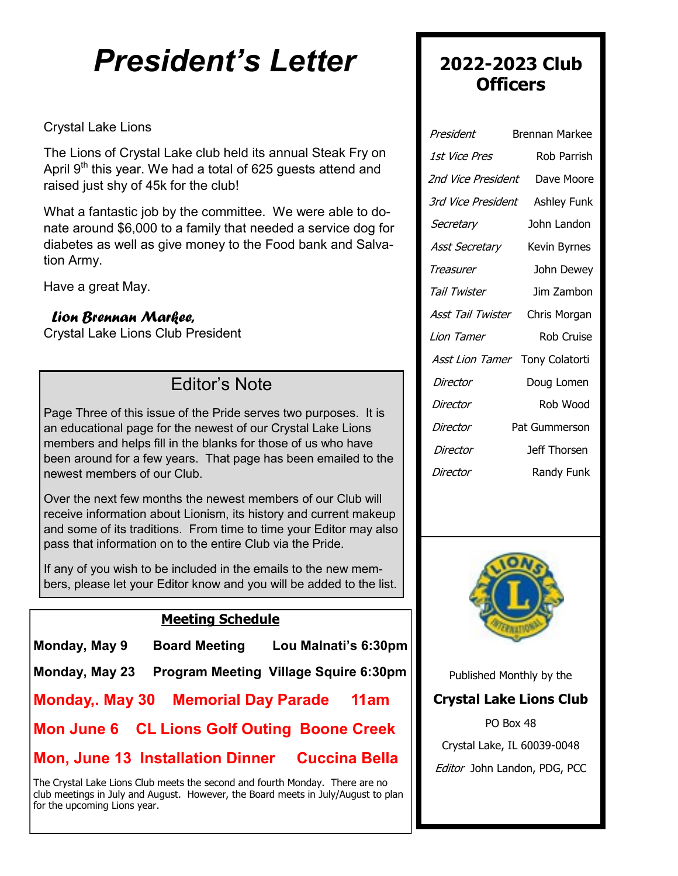# *President's Letter*

#### Crystal Lake Lions

The Lions of Crystal Lake club held its annual Steak Fry on April 9<sup>th</sup> this year. We had a total of 625 guests attend and raised just shy of 45k for the club!

What a fantastic job by the committee. We were able to donate around \$6,000 to a family that needed a service dog for diabetes as well as give money to the Food bank and Salvation Army.

Have a great May.

#### *Lion Brennan Markee,*

Crystal Lake Lions Club President

### Editor's Note

Page Three of this issue of the Pride serves two purposes. It is an educational page for the newest of our Crystal Lake Lions members and helps fill in the blanks for those of us who have been around for a few years. That page has been emailed to the newest members of our Club.

Over the next few months the newest members of our Club will receive information about Lionism, its history and current makeup and some of its traditions. From time to time your Editor may also pass that information on to the entire Club via the Pride.

If any of you wish to be included in the emails to the new members, please let your Editor know and you will be added to the list.

#### **Meeting Schedule**

| Monday, May 9 | <b>Board Meeting</b> | Lou Malnati's 6:30pm |
|---------------|----------------------|----------------------|
|               |                      |                      |

|  |  | Monday, May 23 Program Meeting Village Squire 6:30pm |
|--|--|------------------------------------------------------|
|--|--|------------------------------------------------------|

**Monday,. May 30 Memorial Day Parade 11am**

**Mon June 6 CL Lions Golf Outing Boone Creek** 

#### **Mon, June 13 Installation Dinner Cuccina Bella**

The Crystal Lake Lions Club meets the second and fourth Monday. There are no club meetings in July and August. However, the Board meets in July/August to plan for the upcoming Lions year.

#### **2022-2023 Club Officers**

| President                      | Brennan Markee     |
|--------------------------------|--------------------|
| 1st Vice Pres                  | Rob Parrish        |
| 2nd Vice President             | Dave Moore         |
| 3rd Vice President             | <b>Ashley Funk</b> |
| Secretary                      | John Landon        |
| <b>Asst Secretary</b>          | Kevin Byrnes       |
| Treasurer                      | John Dewey         |
| Tail Twister                   | Jim Zambon         |
| Asst Tail Twister              | Chris Morgan       |
| Lion Tamer                     | Rob Cruise         |
| Asst Lion Tamer Tony Colatorti |                    |
| Director                       | Doug Lomen         |
| Director                       | Rob Wood           |
| Director                       | Pat Gummerson      |
| Director                       | Jeff Thorsen       |
| Director                       | Randy Funk         |
|                                |                    |



Published Monthly by the

#### **Crystal Lake Lions Club**

PO Box 48 Crystal Lake, IL 60039-0048 Editor John Landon, PDG, PCC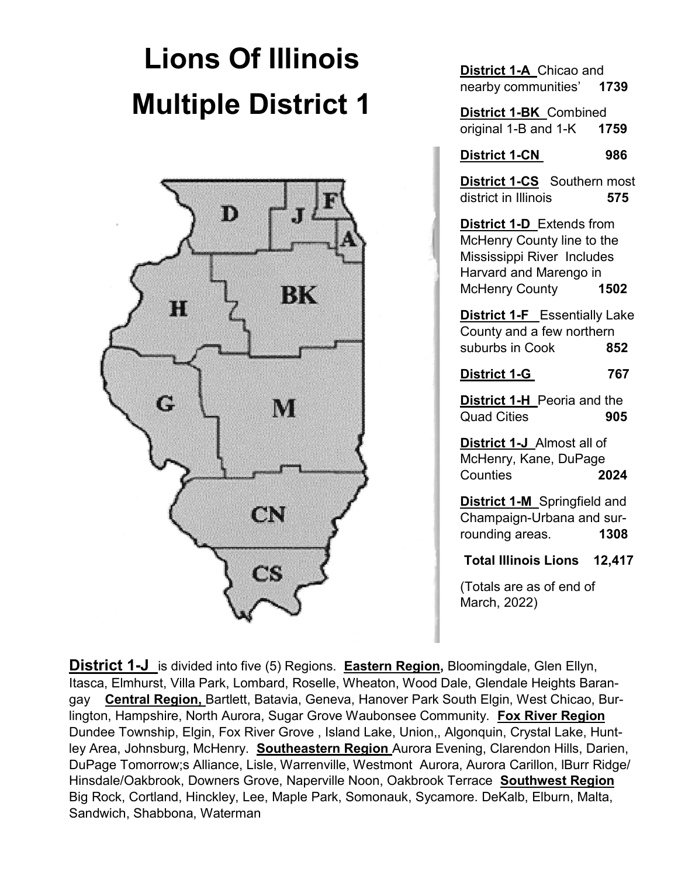# **Lions Of Illinois Multiple District 1**



**District 1-A** Chicao and nearby communities' **1739**

**District 1-BK** Combined original 1-B and 1-K **1759**

**District 1-CN 986**

**District 1-CS** Southern most district in Illinois **575**

**District 1-D** Extends from McHenry County line to the Mississippi River Includes Harvard and Marengo in McHenry County **1502**

**District 1-F** Essentially Lake County and a few northern suburbs in Cook **852**

**District 1-G 767**

**District 1-H** Peoria and the Quad Cities **905**

**District 1-J** Almost all of McHenry, Kane, DuPage Counties **2024**

**District 1-M** Springfield and Champaign-Urbana and surrounding areas. **1308**

**Total Illinois Lions 12,417**

(Totals are as of end of March, 2022)

 ley Area, Johnsburg, McHenry. **Southeastern Region** Aurora Evening, Clarendon Hills, Darien, **District 1-J** is divided into five (5) Regions. **Eastern Region**, Bloomingdale, Glen Ellyn, Itasca, Elmhurst, Villa Park, Lombard, Roselle, Wheaton, Wood Dale, Glendale Heights Barangay **Central Region,** Bartlett, Batavia, Geneva, Hanover Park South Elgin, West Chicao, Burlington, Hampshire, North Aurora, Sugar Grove Waubonsee Community. **Fox River Region**  Dundee Township, Elgin, Fox River Grove , Island Lake, Union,, Algonquin, Crystal Lake, Hunt-DuPage Tomorrow;s Alliance, Lisle, Warrenville, Westmont Aurora, Aurora Carillon, lBurr Ridge/ Hinsdale/Oakbrook, Downers Grove, Naperville Noon, Oakbrook Terrace **Southwest Region**  Big Rock, Cortland, Hinckley, Lee, Maple Park, Somonauk, Sycamore. DeKalb, Elburn, Malta, Sandwich, Shabbona, Waterman